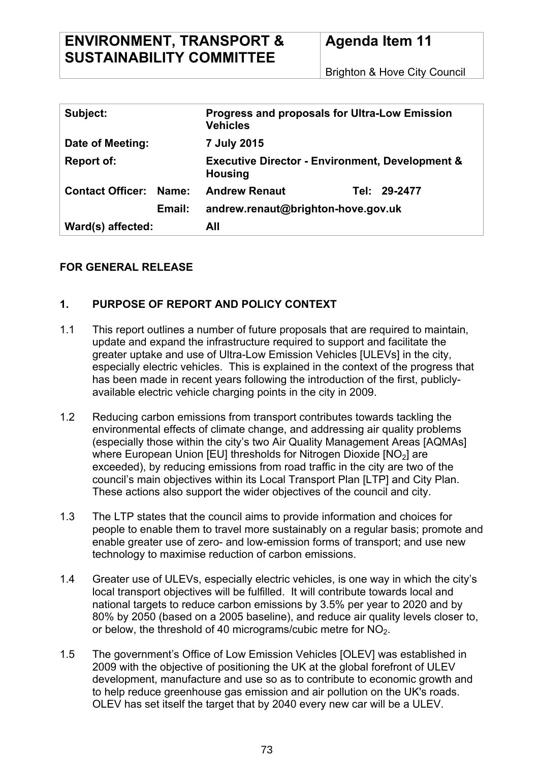# **ENVIRONMENT, TRANSPORT & SUSTAINABILITY COMMITTEE**

Brighton & Hove City Council

| Subject:                |        | <b>Progress and proposals for Ultra-Low Emission</b><br><b>Vehicles</b>      |  |              |
|-------------------------|--------|------------------------------------------------------------------------------|--|--------------|
| Date of Meeting:        |        | 7 July 2015                                                                  |  |              |
| Report of:              |        | <b>Executive Director - Environment, Development &amp;</b><br><b>Housing</b> |  |              |
| <b>Contact Officer:</b> | Name:  | <b>Andrew Renaut</b>                                                         |  | Tel: 29-2477 |
|                         | Email: | andrew.renaut@brighton-hove.gov.uk                                           |  |              |
| Ward(s) affected:       |        | All                                                                          |  |              |

# **FOR GENERAL RELEASE**

# **1. PURPOSE OF REPORT AND POLICY CONTEXT**

- 1.1 This report outlines a number of future proposals that are required to maintain, update and expand the infrastructure required to support and facilitate the greater uptake and use of Ultra-Low Emission Vehicles [ULEVs] in the city, especially electric vehicles. This is explained in the context of the progress that has been made in recent years following the introduction of the first, publiclyavailable electric vehicle charging points in the city in 2009.
- 1.2 Reducing carbon emissions from transport contributes towards tackling the environmental effects of climate change, and addressing air quality problems (especially those within the city's two Air Quality Management Areas [AQMAs] where European Union [EU] thresholds for Nitrogen Dioxide [NO<sub>2</sub>] are exceeded), by reducing emissions from road traffic in the city are two of the council's main objectives within its Local Transport Plan [LTP] and City Plan. These actions also support the wider objectives of the council and city.
- 1.3 The LTP states that the council aims to provide information and choices for people to enable them to travel more sustainably on a regular basis; promote and enable greater use of zero- and low-emission forms of transport; and use new technology to maximise reduction of carbon emissions.
- 1.4 Greater use of ULEVs, especially electric vehicles, is one way in which the city's local transport objectives will be fulfilled. It will contribute towards local and national targets to reduce carbon emissions by 3.5% per year to 2020 and by 80% by 2050 (based on a 2005 baseline), and reduce air quality levels closer to, or below, the threshold of 40 micrograms/cubic metre for  $NO<sub>2</sub>$ .
- 1.5 The government's Office of Low Emission Vehicles [OLEV] was established in 2009 with the objective of positioning the UK at the global forefront of ULEV development, manufacture and use so as to contribute to economic growth and to help reduce greenhouse gas emission and air pollution on the UK's roads. OLEV has set itself the target that by 2040 every new car will be a ULEV.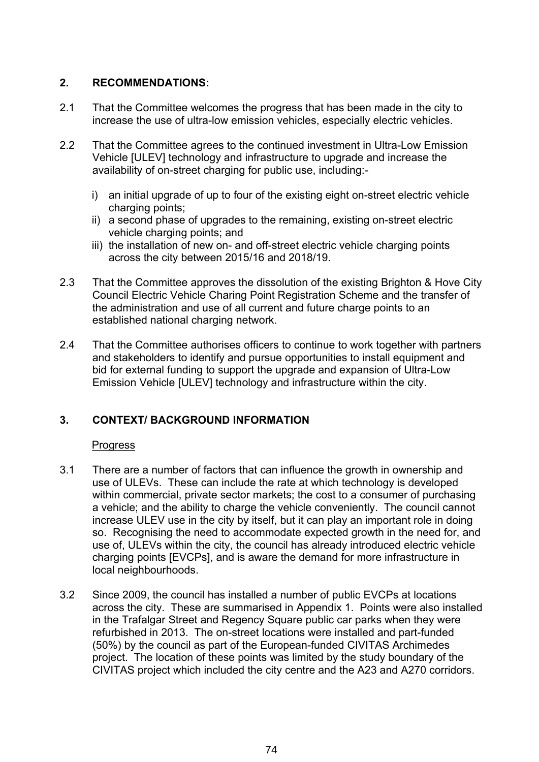# **2. RECOMMENDATIONS:**

- 2.1 That the Committee welcomes the progress that has been made in the city to increase the use of ultra-low emission vehicles, especially electric vehicles.
- 2.2 That the Committee agrees to the continued investment in Ultra-Low Emission Vehicle [ULEV] technology and infrastructure to upgrade and increase the availability of on-street charging for public use, including:
	- i) an initial upgrade of up to four of the existing eight on-street electric vehicle charging points;
	- ii) a second phase of upgrades to the remaining, existing on-street electric vehicle charging points; and
	- iii) the installation of new on- and off-street electric vehicle charging points across the city between 2015/16 and 2018/19.
- 2.3 That the Committee approves the dissolution of the existing Brighton & Hove City Council Electric Vehicle Charing Point Registration Scheme and the transfer of the administration and use of all current and future charge points to an established national charging network.
- 2.4 That the Committee authorises officers to continue to work together with partners and stakeholders to identify and pursue opportunities to install equipment and bid for external funding to support the upgrade and expansion of Ultra-Low Emission Vehicle [ULEV] technology and infrastructure within the city.

# **3. CONTEXT/ BACKGROUND INFORMATION**

# **Progress**

- 3.1 There are a number of factors that can influence the growth in ownership and use of ULEVs. These can include the rate at which technology is developed within commercial, private sector markets; the cost to a consumer of purchasing a vehicle; and the ability to charge the vehicle conveniently. The council cannot increase ULEV use in the city by itself, but it can play an important role in doing so. Recognising the need to accommodate expected growth in the need for, and use of, ULEVs within the city, the council has already introduced electric vehicle charging points [EVCPs], and is aware the demand for more infrastructure in local neighbourhoods.
- 3.2 Since 2009, the council has installed a number of public EVCPs at locations across the city. These are summarised in Appendix 1. Points were also installed in the Trafalgar Street and Regency Square public car parks when they were refurbished in 2013. The on-street locations were installed and part-funded (50%) by the council as part of the European-funded CIVITAS Archimedes project. The location of these points was limited by the study boundary of the CIVITAS project which included the city centre and the A23 and A270 corridors.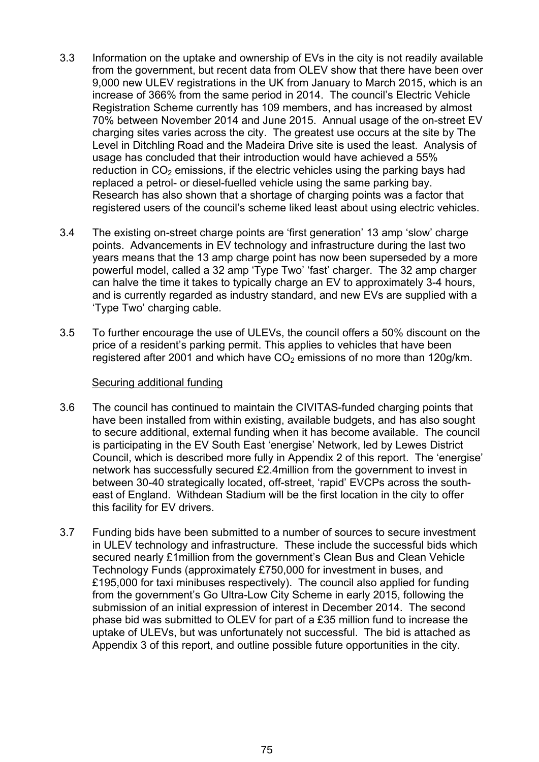- 3.3 Information on the uptake and ownership of EVs in the city is not readily available from the government, but recent data from OLEV show that there have been over 9,000 new ULEV registrations in the UK from January to March 2015, which is an increase of 366% from the same period in 2014. The council's Electric Vehicle Registration Scheme currently has 109 members, and has increased by almost 70% between November 2014 and June 2015. Annual usage of the on-street EV charging sites varies across the city. The greatest use occurs at the site by The Level in Ditchling Road and the Madeira Drive site is used the least. Analysis of usage has concluded that their introduction would have achieved a 55% reduction in  $CO<sub>2</sub>$  emissions, if the electric vehicles using the parking bays had replaced a petrol- or diesel-fuelled vehicle using the same parking bay. Research has also shown that a shortage of charging points was a factor that registered users of the council's scheme liked least about using electric vehicles.
- 3.4 The existing on-street charge points are 'first generation' 13 amp 'slow' charge points. Advancements in EV technology and infrastructure during the last two years means that the 13 amp charge point has now been superseded by a more powerful model, called a 32 amp 'Type Two' 'fast' charger. The 32 amp charger can halve the time it takes to typically charge an EV to approximately 3-4 hours, and is currently regarded as industry standard, and new EVs are supplied with a 'Type Two' charging cable.
- 3.5 To further encourage the use of ULEVs, the council offers a 50% discount on the price of a resident's parking permit. This applies to vehicles that have been registered after 2001 and which have  $CO<sub>2</sub>$  emissions of no more than 120g/km.

#### Securing additional funding

- 3.6 The council has continued to maintain the CIVITAS-funded charging points that have been installed from within existing, available budgets, and has also sought to secure additional, external funding when it has become available. The council is participating in the EV South East 'energise' Network, led by Lewes District Council, which is described more fully in Appendix 2 of this report. The 'energise' network has successfully secured £2.4million from the government to invest in between 30-40 strategically located, off-street, 'rapid' EVCPs across the southeast of England. Withdean Stadium will be the first location in the city to offer this facility for EV drivers.
- 3.7 Funding bids have been submitted to a number of sources to secure investment in ULEV technology and infrastructure. These include the successful bids which secured nearly £1million from the government's Clean Bus and Clean Vehicle Technology Funds (approximately £750,000 for investment in buses, and £195,000 for taxi minibuses respectively). The council also applied for funding from the government's Go Ultra-Low City Scheme in early 2015, following the submission of an initial expression of interest in December 2014. The second phase bid was submitted to OLEV for part of a £35 million fund to increase the uptake of ULEVs, but was unfortunately not successful. The bid is attached as Appendix 3 of this report, and outline possible future opportunities in the city.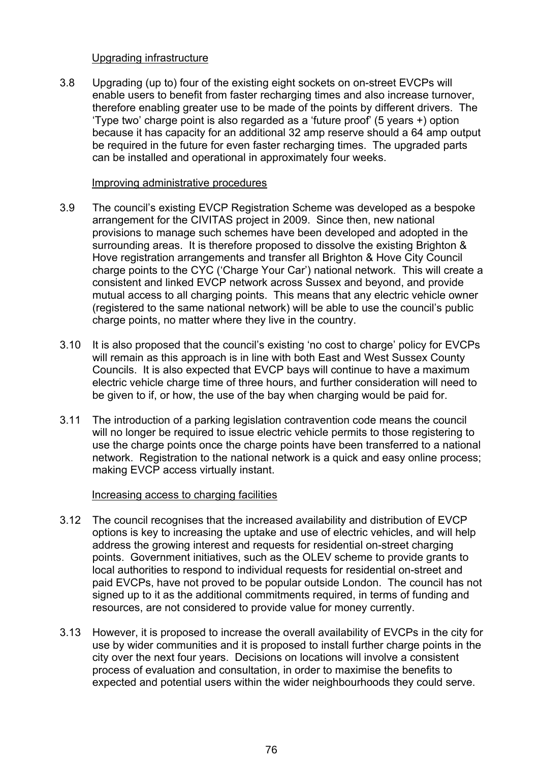#### Upgrading infrastructure

3.8 Upgrading (up to) four of the existing eight sockets on on-street EVCPs will enable users to benefit from faster recharging times and also increase turnover, therefore enabling greater use to be made of the points by different drivers. The 'Type two' charge point is also regarded as a 'future proof' (5 years +) option because it has capacity for an additional 32 amp reserve should a 64 amp output be required in the future for even faster recharging times. The upgraded parts can be installed and operational in approximately four weeks.

#### Improving administrative procedures

- 3.9 The council's existing EVCP Registration Scheme was developed as a bespoke arrangement for the CIVITAS project in 2009. Since then, new national provisions to manage such schemes have been developed and adopted in the surrounding areas. It is therefore proposed to dissolve the existing Brighton & Hove registration arrangements and transfer all Brighton & Hove City Council charge points to the CYC ('Charge Your Car') national network. This will create a consistent and linked EVCP network across Sussex and beyond, and provide mutual access to all charging points. This means that any electric vehicle owner (registered to the same national network) will be able to use the council's public charge points, no matter where they live in the country.
- 3.10 It is also proposed that the council's existing 'no cost to charge' policy for EVCPs will remain as this approach is in line with both East and West Sussex County Councils. It is also expected that EVCP bays will continue to have a maximum electric vehicle charge time of three hours, and further consideration will need to be given to if, or how, the use of the bay when charging would be paid for.
- 3.11 The introduction of a parking legislation contravention code means the council will no longer be required to issue electric vehicle permits to those registering to use the charge points once the charge points have been transferred to a national network. Registration to the national network is a quick and easy online process; making EVCP access virtually instant.

#### Increasing access to charging facilities

- 3.12 The council recognises that the increased availability and distribution of EVCP options is key to increasing the uptake and use of electric vehicles, and will help address the growing interest and requests for residential on-street charging points. Government initiatives, such as the OLEV scheme to provide grants to local authorities to respond to individual requests for residential on-street and paid EVCPs, have not proved to be popular outside London. The council has not signed up to it as the additional commitments required, in terms of funding and resources, are not considered to provide value for money currently.
- 3.13 However, it is proposed to increase the overall availability of EVCPs in the city for use by wider communities and it is proposed to install further charge points in the city over the next four years. Decisions on locations will involve a consistent process of evaluation and consultation, in order to maximise the benefits to expected and potential users within the wider neighbourhoods they could serve.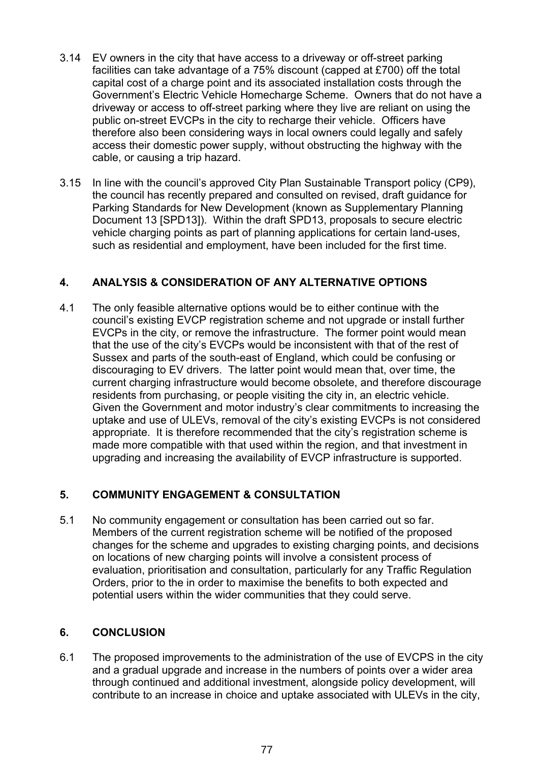- 3.14 EV owners in the city that have access to a driveway or off-street parking facilities can take advantage of a 75% discount (capped at £700) off the total capital cost of a charge point and its associated installation costs through the Government's Electric Vehicle Homecharge Scheme. Owners that do not have a driveway or access to off-street parking where they live are reliant on using the public on-street EVCPs in the city to recharge their vehicle. Officers have therefore also been considering ways in local owners could legally and safely access their domestic power supply, without obstructing the highway with the cable, or causing a trip hazard.
- 3.15 In line with the council's approved City Plan Sustainable Transport policy (CP9), the council has recently prepared and consulted on revised, draft guidance for Parking Standards for New Development (known as Supplementary Planning Document 13 [SPD13]). Within the draft SPD13, proposals to secure electric vehicle charging points as part of planning applications for certain land-uses, such as residential and employment, have been included for the first time.

# **4. ANALYSIS & CONSIDERATION OF ANY ALTERNATIVE OPTIONS**

4.1 The only feasible alternative options would be to either continue with the council's existing EVCP registration scheme and not upgrade or install further EVCPs in the city, or remove the infrastructure. The former point would mean that the use of the city's EVCPs would be inconsistent with that of the rest of Sussex and parts of the south-east of England, which could be confusing or discouraging to EV drivers. The latter point would mean that, over time, the current charging infrastructure would become obsolete, and therefore discourage residents from purchasing, or people visiting the city in, an electric vehicle. Given the Government and motor industry's clear commitments to increasing the uptake and use of ULEVs, removal of the city's existing EVCPs is not considered appropriate. It is therefore recommended that the city's registration scheme is made more compatible with that used within the region, and that investment in upgrading and increasing the availability of EVCP infrastructure is supported.

# **5. COMMUNITY ENGAGEMENT & CONSULTATION**

5.1 No community engagement or consultation has been carried out so far. Members of the current registration scheme will be notified of the proposed changes for the scheme and upgrades to existing charging points, and decisions on locations of new charging points will involve a consistent process of evaluation, prioritisation and consultation, particularly for any Traffic Regulation Orders, prior to the in order to maximise the benefits to both expected and potential users within the wider communities that they could serve.

# **6. CONCLUSION**

6.1 The proposed improvements to the administration of the use of EVCPS in the city and a gradual upgrade and increase in the numbers of points over a wider area through continued and additional investment, alongside policy development, will contribute to an increase in choice and uptake associated with ULEVs in the city,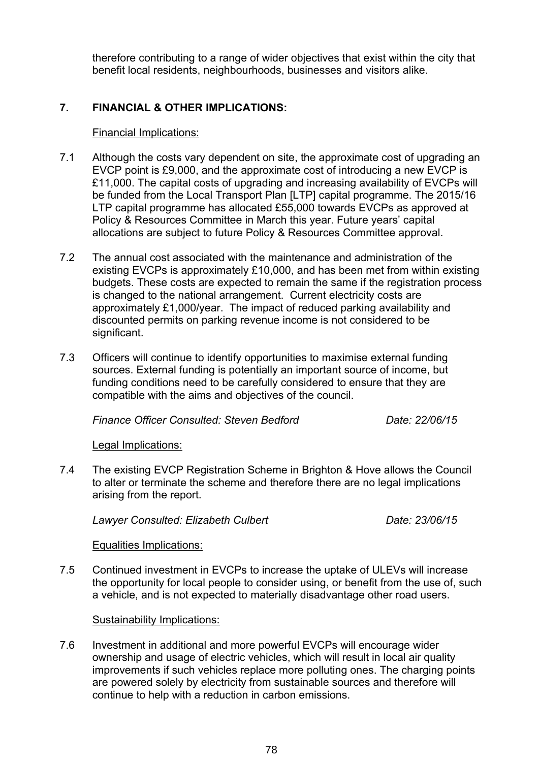therefore contributing to a range of wider objectives that exist within the city that benefit local residents, neighbourhoods, businesses and visitors alike.

# **7. FINANCIAL & OTHER IMPLICATIONS:**

#### Financial Implications:

- 7.1 Although the costs vary dependent on site, the approximate cost of upgrading an EVCP point is £9,000, and the approximate cost of introducing a new EVCP is £11,000. The capital costs of upgrading and increasing availability of EVCPs will be funded from the Local Transport Plan [LTP] capital programme. The 2015/16 LTP capital programme has allocated £55,000 towards EVCPs as approved at Policy & Resources Committee in March this year. Future years' capital allocations are subject to future Policy & Resources Committee approval.
- 7.2 The annual cost associated with the maintenance and administration of the existing EVCPs is approximately £10,000, and has been met from within existing budgets. These costs are expected to remain the same if the registration process is changed to the national arrangement. Current electricity costs are approximately £1,000/year. The impact of reduced parking availability and discounted permits on parking revenue income is not considered to be significant.
- 7.3 Officers will continue to identify opportunities to maximise external funding sources. External funding is potentially an important source of income, but funding conditions need to be carefully considered to ensure that they are compatible with the aims and objectives of the council.

*Finance Officer Consulted: Steven Bedford Date: 22/06/15*

Legal Implications:

7.4 The existing EVCP Registration Scheme in Brighton & Hove allows the Council to alter or terminate the scheme and therefore there are no legal implications arising from the report.

*Lawyer Consulted: Elizabeth Culbert Date: 23/06/15*

Equalities Implications:

7.5 Continued investment in EVCPs to increase the uptake of ULEVs will increase the opportunity for local people to consider using, or benefit from the use of, such a vehicle, and is not expected to materially disadvantage other road users.

Sustainability Implications:

7.6 Investment in additional and more powerful EVCPs will encourage wider ownership and usage of electric vehicles, which will result in local air quality improvements if such vehicles replace more polluting ones. The charging points are powered solely by electricity from sustainable sources and therefore will continue to help with a reduction in carbon emissions.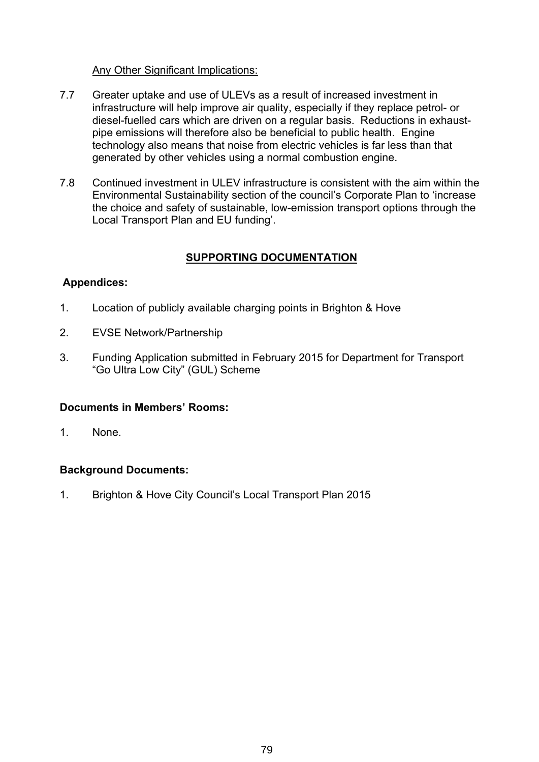#### Any Other Significant Implications:

- 7.7 Greater uptake and use of ULEVs as a result of increased investment in infrastructure will help improve air quality, especially if they replace petrol- or diesel-fuelled cars which are driven on a regular basis. Reductions in exhaustpipe emissions will therefore also be beneficial to public health. Engine technology also means that noise from electric vehicles is far less than that generated by other vehicles using a normal combustion engine.
- 7.8 Continued investment in ULEV infrastructure is consistent with the aim within the Environmental Sustainability section of the council's Corporate Plan to 'increase the choice and safety of sustainable, low-emission transport options through the Local Transport Plan and EU funding'.

# **SUPPORTING DOCUMENTATION**

# **Appendices:**

- 1. Location of publicly available charging points in Brighton & Hove
- 2. EVSE Network/Partnership
- 3. Funding Application submitted in February 2015 for Department for Transport "Go Ultra Low City" (GUL) Scheme

#### **Documents in Members' Rooms:**

1. None.

# **Background Documents:**

1. Brighton & Hove City Council's Local Transport Plan 2015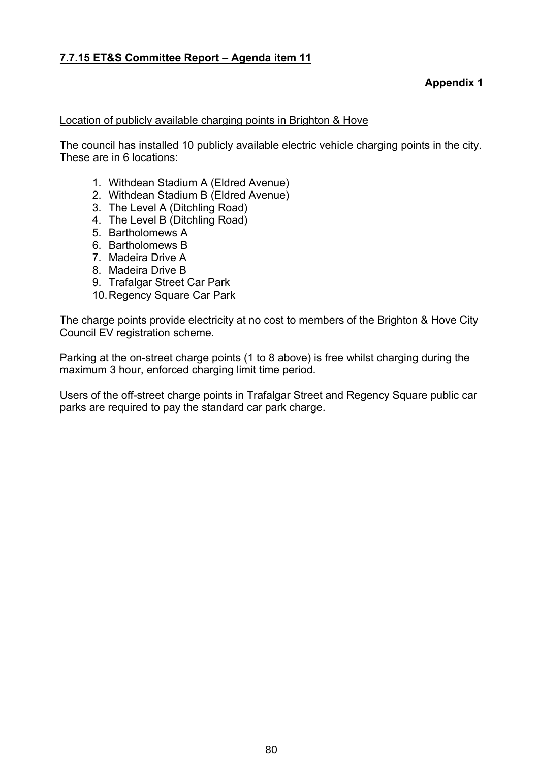#### **7.7.15 ET&S Committee Report – Agenda item 11**

# **Appendix 1**

#### Location of publicly available charging points in Brighton & Hove

The council has installed 10 publicly available electric vehicle charging points in the city. These are in 6 locations:

- 1. Withdean Stadium A (Eldred Avenue)
- 2. Withdean Stadium B (Eldred Avenue)
- 3. The Level A (Ditchling Road)
- 4. The Level B (Ditchling Road)
- 5. Bartholomews A
- 6. Bartholomews B
- 7. Madeira Drive A
- 8. Madeira Drive B
- 9. Trafalgar Street Car Park
- 10.Regency Square Car Park

The charge points provide electricity at no cost to members of the Brighton & Hove City Council EV registration scheme.

Parking at the on-street charge points (1 to 8 above) is free whilst charging during the maximum 3 hour, enforced charging limit time period.

Users of the off-street charge points in Trafalgar Street and Regency Square public car parks are required to pay the standard car park charge.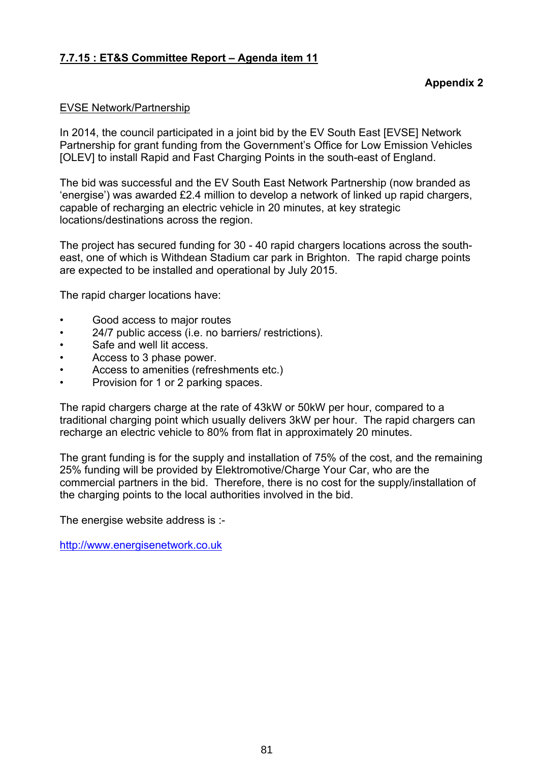# **7.7.15 : ET&S Committee Report – Agenda item 11**

#### EVSE Network/Partnership

In 2014, the council participated in a joint bid by the EV South East [EVSE] Network Partnership for grant funding from the Government's Office for Low Emission Vehicles [OLEV] to install Rapid and Fast Charging Points in the south-east of England.

The bid was successful and the EV South East Network Partnership (now branded as 'energise') was awarded £2.4 million to develop a network of linked up rapid chargers, capable of recharging an electric vehicle in 20 minutes, at key strategic locations/destinations across the region.

The project has secured funding for 30 - 40 rapid chargers locations across the southeast, one of which is Withdean Stadium car park in Brighton. The rapid charge points are expected to be installed and operational by July 2015.

The rapid charger locations have:

- Good access to major routes
- 24/7 public access (i.e. no barriers/ restrictions).
- Safe and well lit access.
- Access to 3 phase power.
- Access to amenities (refreshments etc.)
- Provision for 1 or 2 parking spaces.

The rapid chargers charge at the rate of 43kW or 50kW per hour, compared to a traditional charging point which usually delivers 3kW per hour. The rapid chargers can recharge an electric vehicle to 80% from flat in approximately 20 minutes.

The grant funding is for the supply and installation of 75% of the cost, and the remaining 25% funding will be provided by Elektromotive/Charge Your Car, who are the commercial partners in the bid. Therefore, there is no cost for the supply/installation of the charging points to the local authorities involved in the bid.

The energise website address is :-

[http://www.energisenetwork.co.uk](http://www.energisenetwork.co.uk/)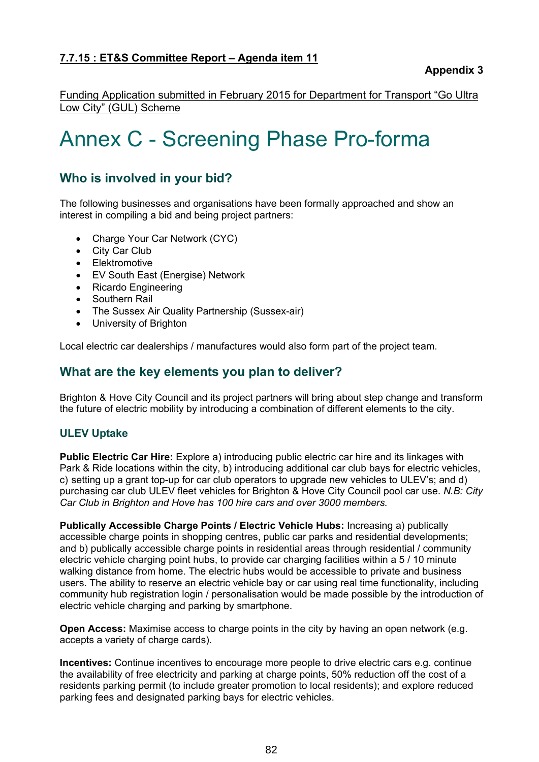# **7.7.15 : ET&S Committee Report – Agenda item 11**

Funding Application submitted in February 2015 for Department for Transport "Go Ultra Low City" (GUL) Scheme

# Annex C - Screening Phase Pro-forma

# **Who is involved in your bid?**

The following businesses and organisations have been formally approached and show an interest in compiling a bid and being project partners:

- Charge Your Car Network (CYC)
- City Car Club
- Elektromotive
- EV South East (Energise) Network
- Ricardo Engineering
- Southern Rail
- The Sussex Air Quality Partnership (Sussex-air)
- University of Brighton

Local electric car dealerships / manufactures would also form part of the project team.

# **What are the key elements you plan to deliver?**

Brighton & Hove City Council and its project partners will bring about step change and transform the future of electric mobility by introducing a combination of different elements to the city.

#### **ULEV Uptake**

**Public Electric Car Hire:** Explore a) introducing public electric car hire and its linkages with Park & Ride locations within the city, b) introducing additional car club bays for electric vehicles, c) setting up a grant top-up for car club operators to upgrade new vehicles to ULEV's; and d) purchasing car club ULEV fleet vehicles for Brighton & Hove City Council pool car use. *N.B: City Car Club in Brighton and Hove has 100 hire cars and over 3000 members.*

**Publically Accessible Charge Points / Electric Vehicle Hubs:** Increasing a) publically accessible charge points in shopping centres, public car parks and residential developments; and b) publically accessible charge points in residential areas through residential / community electric vehicle charging point hubs, to provide car charging facilities within a 5 / 10 minute walking distance from home. The electric hubs would be accessible to private and business users. The ability to reserve an electric vehicle bay or car using real time functionality, including community hub registration login / personalisation would be made possible by the introduction of electric vehicle charging and parking by smartphone.

**Open Access:** Maximise access to charge points in the city by having an open network (e.g. accepts a variety of charge cards).

**Incentives:** Continue incentives to encourage more people to drive electric cars e.g. continue the availability of free electricity and parking at charge points, 50% reduction off the cost of a residents parking permit (to include greater promotion to local residents); and explore reduced parking fees and designated parking bays for electric vehicles.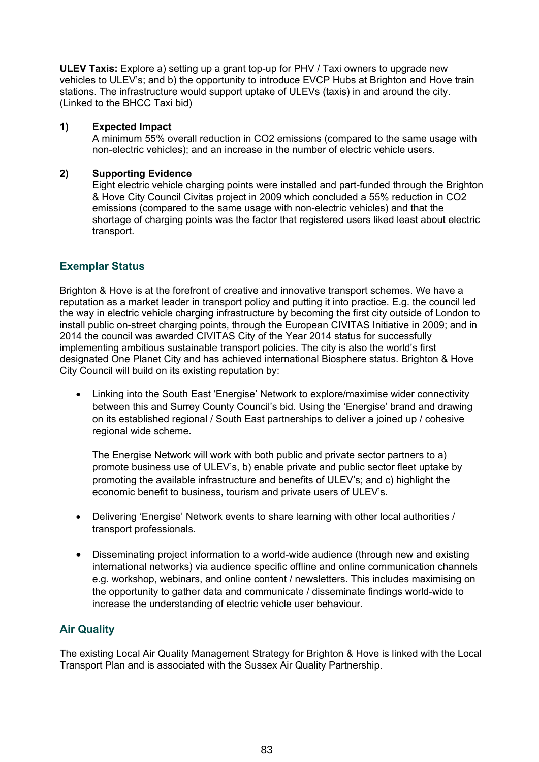**ULEV Taxis:** Explore a) setting up a grant top-up for PHV / Taxi owners to upgrade new vehicles to ULEV's; and b) the opportunity to introduce EVCP Hubs at Brighton and Hove train stations. The infrastructure would support uptake of ULEVs (taxis) in and around the city. (Linked to the BHCC Taxi bid)

#### **1) Expected Impact**

A minimum 55% overall reduction in CO2 emissions (compared to the same usage with non-electric vehicles); and an increase in the number of electric vehicle users.

#### **2) Supporting Evidence**

Eight electric vehicle charging points were installed and part-funded through the Brighton & Hove City Council Civitas project in 2009 which concluded a 55% reduction in CO2 emissions (compared to the same usage with non-electric vehicles) and that the shortage of charging points was the factor that registered users liked least about electric transport.

#### **Exemplar Status**

Brighton & Hove is at the forefront of creative and innovative transport schemes. We have a reputation as a market leader in transport policy and putting it into practice. E.g. the council led the way in electric vehicle charging infrastructure by becoming the first city outside of London to install public on-street charging points, through the European CIVITAS Initiative in 2009; and in 2014 the council was awarded CIVITAS City of the Year 2014 status for successfully implementing ambitious sustainable transport policies. The city is also the world's first designated One Planet City and has achieved international Biosphere status. Brighton & Hove City Council will build on its existing reputation by:

 Linking into the South East 'Energise' Network to explore/maximise wider connectivity between this and Surrey County Council's bid. Using the 'Energise' brand and drawing on its established regional / South East partnerships to deliver a joined up / cohesive regional wide scheme.

The Energise Network will work with both public and private sector partners to a) promote business use of ULEV's, b) enable private and public sector fleet uptake by promoting the available infrastructure and benefits of ULEV's; and c) highlight the economic benefit to business, tourism and private users of ULEV's.

- Delivering 'Energise' Network events to share learning with other local authorities / transport professionals.
- Disseminating project information to a world-wide audience (through new and existing international networks) via audience specific offline and online communication channels e.g. workshop, webinars, and online content / newsletters. This includes maximising on the opportunity to gather data and communicate / disseminate findings world-wide to increase the understanding of electric vehicle user behaviour.

# **Air Quality**

The existing Local Air Quality Management Strategy for Brighton & Hove is linked with the Local Transport Plan and is associated with the Sussex Air Quality Partnership.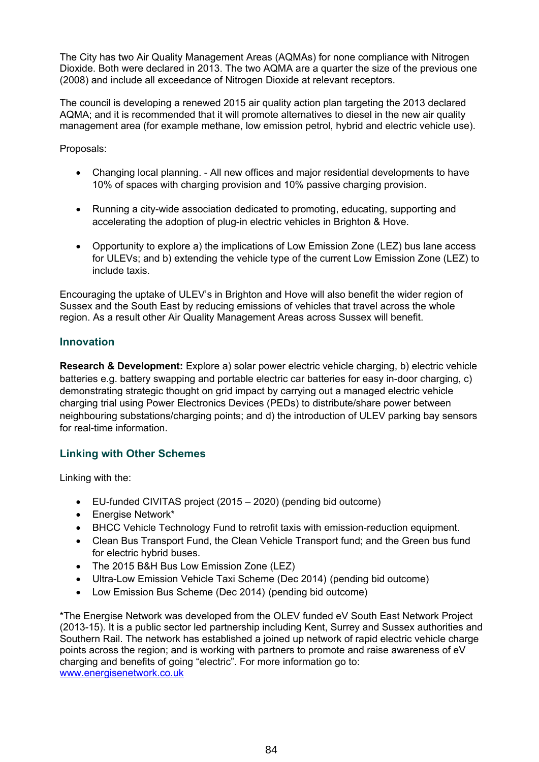The City has two Air Quality Management Areas (AQMAs) for none compliance with Nitrogen Dioxide. Both were declared in 2013. The two AQMA are a quarter the size of the previous one (2008) and include all exceedance of Nitrogen Dioxide at relevant receptors.

The council is developing a renewed 2015 air quality action plan targeting the 2013 declared AQMA; and it is recommended that it will promote alternatives to diesel in the new air quality management area (for example methane, low emission petrol, hybrid and electric vehicle use).

Proposals:

- Changing local planning. All new offices and major residential developments to have 10% of spaces with charging provision and 10% passive charging provision.
- Running a city-wide association dedicated to promoting, educating, supporting and accelerating the adoption of plug-in electric vehicles in Brighton & Hove.
- Opportunity to explore a) the implications of Low Emission Zone (LEZ) bus lane access for ULEVs; and b) extending the vehicle type of the current Low Emission Zone (LEZ) to include taxis.

Encouraging the uptake of ULEV's in Brighton and Hove will also benefit the wider region of Sussex and the South East by reducing emissions of vehicles that travel across the whole region. As a result other Air Quality Management Areas across Sussex will benefit.

#### **Innovation**

**Research & Development:** Explore a) solar power electric vehicle charging, b) electric vehicle batteries e.g. battery swapping and portable electric car batteries for easy in-door charging, c) demonstrating strategic thought on grid impact by carrying out a managed electric vehicle charging trial using Power Electronics Devices (PEDs) to distribute/share power between neighbouring substations/charging points; and d) the introduction of ULEV parking bay sensors for real-time information.

# **Linking with Other Schemes**

Linking with the:

- EU-funded CIVITAS project (2015 2020) (pending bid outcome)
- Energise Network\*
- BHCC Vehicle Technology Fund to retrofit taxis with emission-reduction equipment.
- Clean Bus Transport Fund, the Clean Vehicle Transport fund; and the Green bus fund for electric hybrid buses.
- The 2015 B&H Bus Low Emission Zone (LEZ)
- Ultra-Low Emission Vehicle Taxi Scheme (Dec 2014) (pending bid outcome)
- Low Emission Bus Scheme (Dec 2014) (pending bid outcome)

\*The Energise Network was developed from the OLEV funded eV South East Network Project (2013-15). It is a public sector led partnership including Kent, Surrey and Sussex authorities and Southern Rail. The network has established a joined up network of rapid electric vehicle charge points across the region; and is working with partners to promote and raise awareness of eV charging and benefits of going "electric". For more information go to: [www.energisenetwork.co.uk](http://www.energisenetwork.co.uk/)